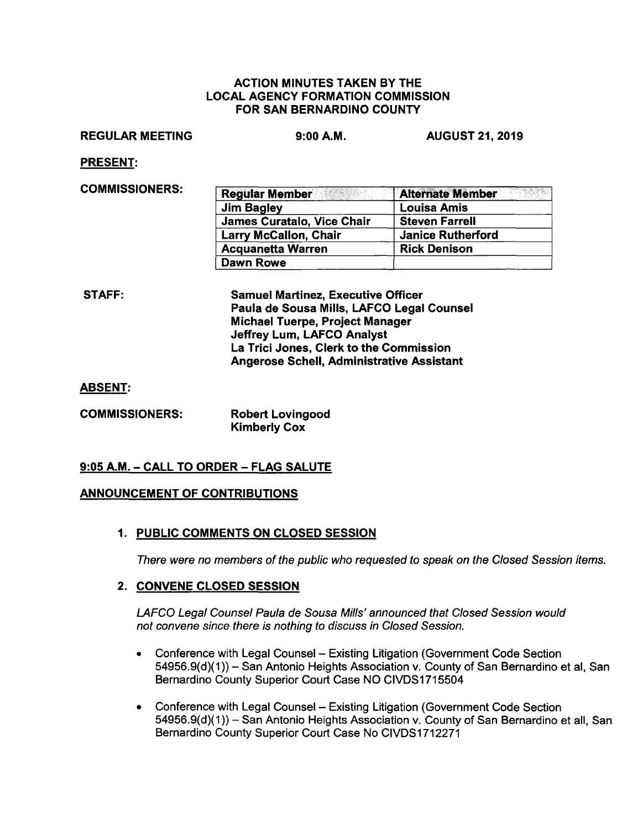#### ACTION MINUTES TAKEN BY THE LOCAL AGENCY FORMATION COMMISSION FOR SAN BERNARDINO COUNTY

#### REGULAR MEETING

9:00 **A.M.** AUGUST 21, 2019

PRESENT:

| COMMISSIONERS: | <b>Regular Member</b>        | <b>Alternate Member</b>  |
|----------------|------------------------------|--------------------------|
|                | Jim Bagley                   | <b>Louisa Amis</b>       |
|                | James Curatalo, Vice Chair   | <b>Steven Farrell</b>    |
|                | <b>Larry McCallon, Chair</b> | <b>Janice Rutherford</b> |
|                | <b>Acquanetta Warren</b>     | <b>Rick Denison</b>      |
|                | Dawn Rowe                    |                          |

STAFF: Samuel Martinez, Executive Officer Paula de Sousa Mills, LAFCO Legal Counsel Michael Tuerpe, Project Manager Jeffrey Lum, LAFCO Analyst La Trici Jones, Clerk to the Commission Angerose Schell, Administrative Assistant

**ABSENT:** 

**COMMISSIONERS: Robert Lovingood Kimberly Cox** 

# **9:05 A.M.** - **CALL TO ORDER** - **FLAG SALUTE**

## **ANNOUNCEMENT OF CONTRIBUTIONS**

# **1. PUBLIC COMMENTS ON CLOSED SESSION**

There were no members of the public who requested to speak on the Closed Session items.

## **2. CONVENE CLOSED SESSION**

LAFCO Legal Counsel Paula de Sousa Mills' announced that Closed Session would not convene since there is nothing to discuss in Closed Session.

- Conference with Legal Counsel Existing Litigation (Government Code Section 54956.9(d)(1 ))- San Antonio Heights Association v. County of San Bernardino et al, San Bernardino County Superior Court Case NO CIVDS1715504
- Conference with Legal Counsel Existing Litigation (Government Code Section 54956.9(d)(1)) - San Antonio Heights Association v. County of San Bernardino et all, San Bernardino County Superior Court Case No CIVDS1712271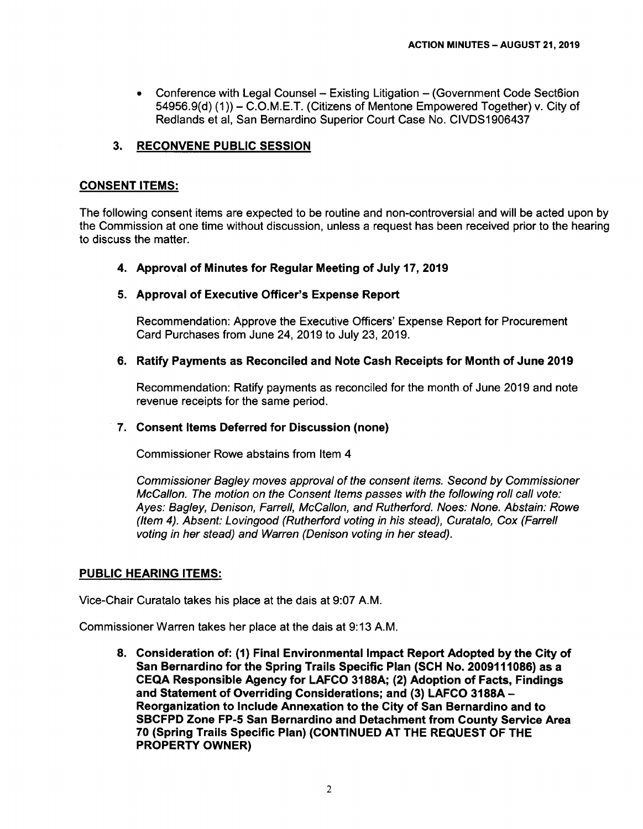• Conference with Legal Counsel - Existing Litigation - (Government Code Sect6ion 54956.9(d) (1)) - C.O.M.E.T. (Citizens of Mentone Empowered Together) v. City of Redlands et al, San Bernardino Superior Court Case No. CIVDS1906437

## **3. RECONVENE PUBLIC SESSION**

## **CONSENT ITEMS:**

The following consent items are expected to be routine and non-controversial and will be acted upon by the Commission at one time without discussion, unless a request has been received prior to the hearing to discuss the matter.

## **4. Approval of Minutes for Regular Meeting of July 17, 2019**

## **5. Approval of Executive Officer's Expense Report**

Recommendation: Approve the Executive Officers' Expense Report for Procurement Card Purchases from June 24, 2019 to July 23, 2019.

## **6. Ratify Payments as Reconciled and Note Cash Receipts for Month of June 2019**

Recommendation: Ratify payments as reconciled for the month of June 2019 and note revenue receipts for the same period.

## **7. Consent Items Deferred for Discussion (none)**

Commissioner Rowe abstains from Item 4

Commissioner Bagley moves approval of the consent items. Second by Commissioner McCallon. The motion on the Consent Items passes with the following roll call vote: Ayes: Bagley, Denison, Farrell, McCallon, and Rutherford. Noes: None. Abstain: Rowe (Item 4). Absent: Lovingood (Rutherford voting in his stead), Curatalo, Cox (Farrell voting in her stead) and Warren (Denison voting in her stead).

## **PUBLIC HEARING ITEMS:**

Vice-Chair Curatalo takes his place at the dais at 9:07 A.M.

Commissioner Warren takes her place at the dais at 9: 13 A.M.

**8. Consideration of: (1) Final Environmental Impact Report Adopted by the City of San Bernardino for the Spring Trails Specific Plan (SCH No. 2009111086) as a CEQA Responsible Agency for LAFCO 3188A; (2) Adoption of Facts, Findings and Statement of Overriding Considerations; and (3) LAFCO 3188A** - **Reorganization to Include Annexation to the City of San Bernardino and to SBCFPD Zone FP-5 San Bernardino and Detachment from County Service Area 70 (Spring Trails Specific Plan) (CONTINUED AT THE REQUEST OF THE PROPERTY OWNER)**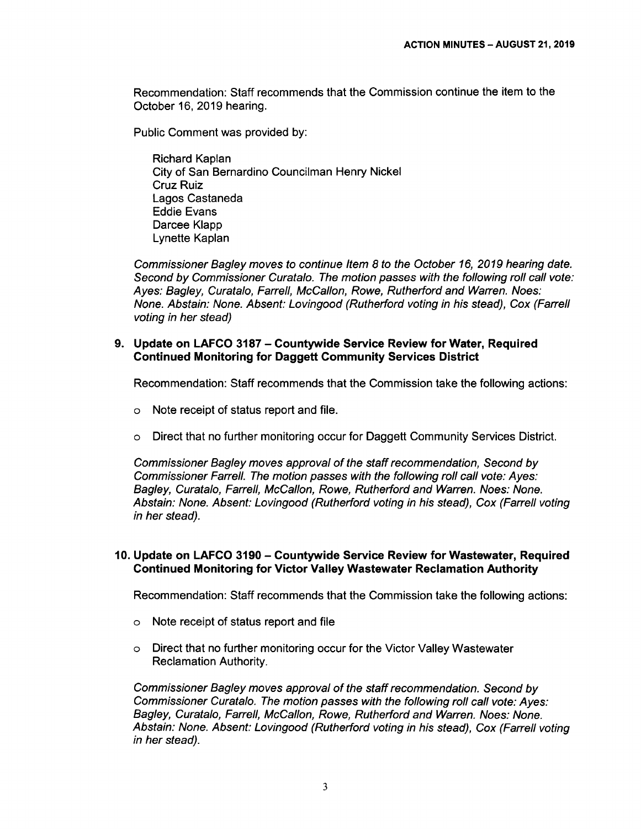Recommendation: Staff recommends that the Commission continue the item to the October 16, 2019 hearing.

Public Comment was provided by:

Richard Kaplan City of San Bernardino Councilman Henry Nickel Cruz Ruiz Lagos Castaneda Eddie Evans Darcee Klapp Lynette Kaplan

Commissioner Bagley moves to continue Item 8 to the October 16, 2019 hearing date. Second by Commissioner Curatalo. The motion passes with the following roll call vote: Ayes: Bagley, Curatalo, Farrell, McCallon, Rowe, Rutherford and Warren. Noes: None. Abstain: None. Absent: Lovingood (Rutherford voting in his stead), Cox (Farrell voting in her stead)

#### **9. Update on LAFCO 3187 - Countywide Service Review for Water, Required Continued Monitoring for Daggett Community Services District**

Recommendation: Staff recommends that the Commission take the following actions:

- o Note receipt of status report and file.
- o Direct that no further monitoring occur for Daggett Community Services District.

Commissioner Bagley moves approval of the staff recommendation, Second by Commissioner Farrell. The motion passes with the following roll call vote: Ayes: Bagley, Curatalo, Farrell, McCallon, Rowe, Rutherford and Warren. Noes: None. Abstain: None. Absent: Lovingood (Rutherford voting in his stead), Cox (Farrell voting in her stead).

## **10. Update on LAFCO 3190- Countywide Service Review for Wastewater, Required Continued Monitoring for Victor Valley Wastewater Reclamation Authority**

Recommendation: Staff recommends that the Commission take the following actions:

- o Note receipt of status report and file
- o Direct that no further monitoring occur for the Victor Valley Wastewater Reclamation Authority.

Commissioner Bagley moves approval of the staff recommendation. Second by Commissioner Curatalo. The motion passes with the following roll call vote: Ayes: Bagley, Curatalo, Farrell, McCallon, Rowe, Rutherford and Warren. Noes: None. Abstain: None. Absent: Lovingood (Rutherford voting in his stead), Cox (Farrell voting in her stead).